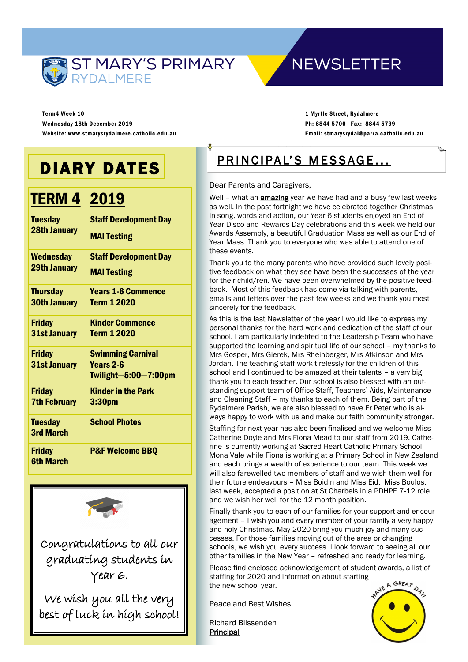

## **NEWSLETTER**

Term4 Week 10 Wednesday 18th December 2019 Website: www.stmarysrydalmere.catholic.edu.au

1 Myrtle Street, Rydalmere Ph: 8844 5700 Fax: 8844 5799 Email: stmarysrydal@parra.catholic.edu.au

## DIARY DATES

## **TERM 4 2019**

| <b>Tuesday</b><br><b>28th January</b>   | <b>Staff Development Day</b><br><b>MAI Testing</b> |
|-----------------------------------------|----------------------------------------------------|
| <b>Wednesday</b><br><b>29th January</b> | <b>Staff Development Day</b><br><b>MAI Testing</b> |
| <b>Thursday</b>                         | <b>Years 1-6 Commence</b>                          |
| <b>30th January</b>                     | <b>Term 1 2020</b>                                 |
| <b>Friday</b>                           | <b>Kinder Commence</b>                             |
| 31st January                            | <b>Term 1 2020</b>                                 |
| <b>Friday</b>                           | <b>Swimming Carnival</b>                           |
| 31st January                            | Years 2-6                                          |
|                                         | <b>Twilight-5:00-7:00pm</b>                        |
| <b>Friday</b>                           | <b>Kinder in the Park</b>                          |
| <b>7th February</b>                     | 3:30pm                                             |
| <b>Tuesday</b>                          | <b>School Photos</b>                               |
| 3rd March                               |                                                    |
| <b>Friday</b><br><b>6th March</b>       | <b>P&amp;F Welcome BBQ</b>                         |



Congratulations to all our graduating students in Year 6.

We wish you all the very best of luck in high school!

## PRINCIPAL'S MESSAGE...

#### Dear Parents and Caregivers,

Well - what an **amazing** year we have had and a busy few last weeks as well. In the past fortnight we have celebrated together Christmas in song, words and action, our Year 6 students enjoyed an End of Year Disco and Rewards Day celebrations and this week we held our Awards Assembly, a beautiful Graduation Mass as well as our End of Year Mass. Thank you to everyone who was able to attend one of these events.

Thank you to the many parents who have provided such lovely positive feedback on what they see have been the successes of the year for their child/ren. We have been overwhelmed by the positive feedback. Most of this feedback has come via talking with parents, emails and letters over the past few weeks and we thank you most sincerely for the feedback.

As this is the last Newsletter of the year I would like to express my personal thanks for the hard work and dedication of the staff of our school. I am particularly indebted to the Leadership Team who have supported the learning and spiritual life of our school – my thanks to Mrs Gosper, Mrs Gierek, Mrs Rheinberger, Mrs Atkinson and Mrs Jordan. The teaching staff work tirelessly for the children of this school and I continued to be amazed at their talents – a very big thank you to each teacher. Our school is also blessed with an outstanding support team of Office Staff, Teachers' Aids, Maintenance and Cleaning Staff – my thanks to each of them. Being part of the Rydalmere Parish, we are also blessed to have Fr Peter who is always happy to work with us and make our faith community stronger.

Staffing for next year has also been finalised and we welcome Miss Catherine Doyle and Mrs Fiona Mead to our staff from 2019. Catherine is currently working at Sacred Heart Catholic Primary School, Mona Vale while Fiona is working at a Primary School in New Zealand and each brings a wealth of experience to our team. This week we will also farewelled two members of staff and we wish them well for their future endeavours – Miss Boidin and Miss Eid. Miss Boulos, last week, accepted a position at St Charbels in a PDHPE 7-12 role and we wish her well for the 12 month position.

Finally thank you to each of our families for your support and encouragement – I wish you and every member of your family a very happy and holy Christmas. May 2020 bring you much joy and many successes. For those families moving out of the area or changing schools, we wish you every success. I look forward to seeing all our other families in the New Year – refreshed and ready for learning.

Please find enclosed acknowledgement of student awards, a list of staffing for 2020 and information about starting the new school year.

Peace and Best Wishes.

Richard Blissenden Principal

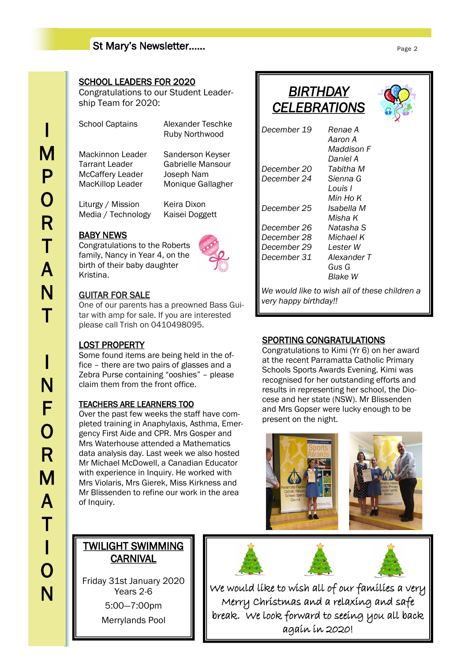#### St Mary's Newsletter……

## I M P O R T A N T I N F O R M A T I O N

#### SCHOOL LEADERS FOR 2020

Congratulations to our Student Leadership Team for 2020:

School Captains Alexander Teschke

Ruby Northwood

Mackinnon Leader Sanderson Keyser Tarrant Leader Gabrielle Mansour McCaffery Leader Joseph Nam MacKillop Leader Monique Gallagher

Liturgy / Mission Keira Dixon

## BABY NEWS

Congratulations to the Roberts family, Nancy in Year 4, on the birth of their baby daughter Kristina.

Media / Technology Kaisei Doggett



#### GUITAR FOR SALE

One of our parents has a preowned Bass Guitar with amp for sale. If you are interested please call Trish on 0410498095.

#### LOST PROPERTY

Some found items are being held in the office – there are two pairs of glasses and a Zebra Purse containing "ooshies" – please claim them from the front office.

#### TEACHERS ARE LEARNERS TOO

Over the past few weeks the staff have completed training in Anaphylaxis, Asthma, Emergency First Aide and CPR. Mrs Gosper and Mrs Waterhouse attended a Mathematics data analysis day. Last week we also hosted Mr Michael McDowell, a Canadian Educator with experience in Inquiry. He worked with Mrs Violaris, Mrs Gierek, Miss Kirkness and Mr Blissenden to refine our work in the area of Inquiry.

### *BIRTHDAY CELEBRATIONS*

|                                      | ◢                                            |
|--------------------------------------|----------------------------------------------|
| December 19                          | Renae A<br>Aaron A<br>Maddison F<br>Daniel A |
| December 20                          | Tabitha M                                    |
| December 24                          | Sienna G                                     |
|                                      | Louis I                                      |
|                                      | Min Ho K                                     |
| December 25                          | Isabella M                                   |
|                                      | Misha K                                      |
| December 26                          | Natasha S                                    |
| December 28                          | Michael K                                    |
| December 29                          | Lester W                                     |
| December 31                          | Alexander T                                  |
|                                      | Gus G                                        |
|                                      | Blake W                                      |
| وللمستمر الألمان والمربوب والمستندين | بالمتركب الساما والمتارين                    |

*We would like to wish all of these children a very happy birthday!!*

#### SPORTING CONGRATULATIONS

Congratulations to Kimi (Yr 6) on her award at the recent Parramatta Catholic Primary Schools Sports Awards Evening. Kimi was recognised for her outstanding efforts and results in representing her school, the Diocese and her state (NSW). Mr Blissenden and Mrs Gopser were lucky enough to be present on the night.



### TWILIGHT SWIMMING **CARNIVAL**

Friday 31st January 2020 Years 2-6

> 5:00—7:00pm Merrylands Pool

We would like to wish all of our families a very Merry Christmas and a relaxing and safe break. We look forward to seeing you all back again in 2020!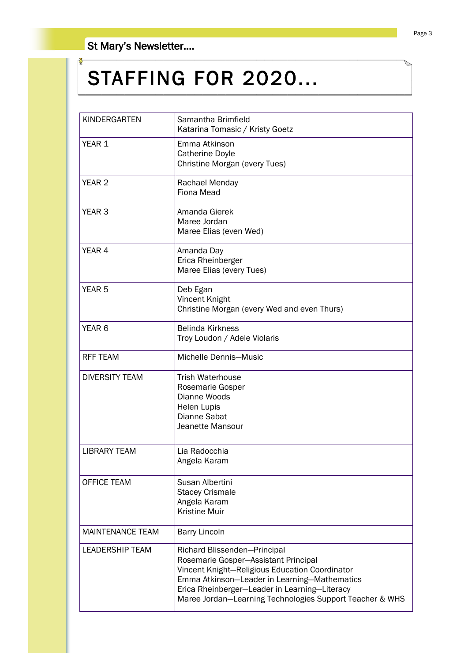### St Mary's Newsletter….

# STAFFING FOR 2020...

| KINDERGARTEN            | Samantha Brimfield<br>Katarina Tomasic / Kristy Goetz                                                                                                                                                                                                                               |  |  |
|-------------------------|-------------------------------------------------------------------------------------------------------------------------------------------------------------------------------------------------------------------------------------------------------------------------------------|--|--|
| YEAR 1                  | Emma Atkinson<br><b>Catherine Doyle</b><br>Christine Morgan (every Tues)                                                                                                                                                                                                            |  |  |
| YEAR <sub>2</sub>       | Rachael Menday<br>Fiona Mead                                                                                                                                                                                                                                                        |  |  |
| YEAR <sub>3</sub>       | Amanda Gierek<br>Maree Jordan<br>Maree Elias (even Wed)                                                                                                                                                                                                                             |  |  |
| YEAR <sub>4</sub>       | Amanda Day<br>Erica Rheinberger<br>Maree Elias (every Tues)                                                                                                                                                                                                                         |  |  |
| YEAR <sub>5</sub>       | Deb Egan<br>Vincent Knight<br>Christine Morgan (every Wed and even Thurs)                                                                                                                                                                                                           |  |  |
| YEAR <sub>6</sub>       | <b>Belinda Kirkness</b><br>Troy Loudon / Adele Violaris                                                                                                                                                                                                                             |  |  |
| <b>RFF TEAM</b>         | Michelle Dennis-Music                                                                                                                                                                                                                                                               |  |  |
| <b>DIVERSITY TEAM</b>   | Trish Waterhouse<br>Rosemarie Gosper<br>Dianne Woods<br><b>Helen Lupis</b><br>Dianne Sabat<br>Jeanette Mansour                                                                                                                                                                      |  |  |
| <b>LIBRARY TEAM</b>     | Lia Radocchia<br>Angela Karam                                                                                                                                                                                                                                                       |  |  |
| <b>OFFICE TEAM</b>      | Susan Albertini<br><b>Stacey Crismale</b><br>Angela Karam<br><b>Kristine Muir</b>                                                                                                                                                                                                   |  |  |
| <b>MAINTENANCE TEAM</b> | <b>Barry Lincoln</b>                                                                                                                                                                                                                                                                |  |  |
| <b>LEADERSHIP TEAM</b>  | Richard Blissenden-Principal<br>Rosemarie Gosper-Assistant Principal<br>Vincent Knight-Religious Education Coordinator<br>Emma Atkinson-Leader in Learning-Mathematics<br>Erica Rheinberger-Leader in Learning-Literacy<br>Maree Jordan-Learning Technologies Support Teacher & WHS |  |  |